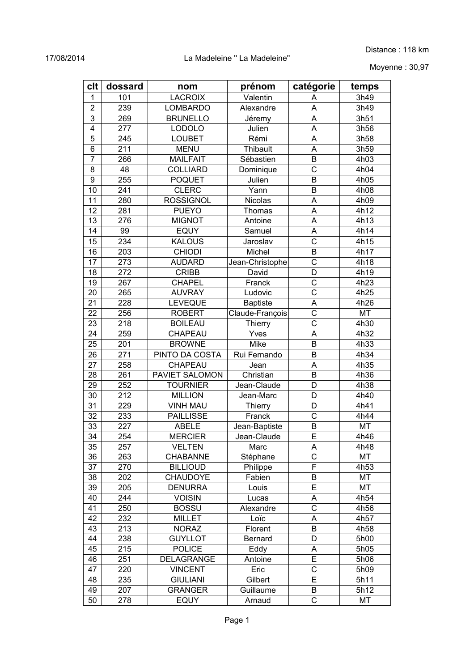#### 17/08/2014 La Madeleine '' La Madeleine''

Moyenne : 30,97

| clt             | dossard    | nom                             | prénom            | catégorie             | temps        |
|-----------------|------------|---------------------------------|-------------------|-----------------------|--------------|
| 1               | 101        | <b>LACROIX</b>                  | Valentin          | Α                     | 3h49         |
| $\overline{2}$  | 239        | <b>LOMBARDO</b>                 | Alexandre         | A                     | 3h49         |
| 3               | 269        | <b>BRUNELLO</b>                 | Jéremy            | A                     | 3h51         |
| $\overline{4}$  | 277        | LODOLO                          | Julien            | A                     | 3h56         |
| 5               | 245        | <b>LOUBET</b>                   | Rémi              | A                     | 3h58         |
| 6               | 211        | <b>MENU</b>                     | Thibault          | A                     | 3h59         |
| $\overline{7}$  | 266        | <b>MAILFAIT</b>                 | Sébastien         | B                     | 4h03         |
| 8               | 48         | <b>COLLIARD</b>                 | Dominique         | C                     | 4h04         |
| $\overline{9}$  | 255        | <b>POQUET</b>                   | Julien            | B                     | 4h05         |
| 10              | 241        | <b>CLERC</b>                    | Yann              | B                     | 4h08         |
| 11              | 280        | <b>ROSSIGNOL</b>                | Nicolas           | A                     | 4h09         |
| 12              | 281        | <b>PUEYO</b>                    | Thomas            | A                     | 4h12         |
| 13              | 276        | <b>MIGNOT</b>                   | Antoine           | A                     | 4h13         |
| 14              | 99         | <b>EQUY</b>                     | Samuel            | A                     | 4h14         |
| 15              | 234        | <b>KALOUS</b>                   | Jaroslav          | $\mathsf{C}$          | 4h15         |
| 16              | 203        | <b>CHIODI</b>                   | Michel            | B                     | 4h17         |
| 17              | 273        | <b>AUDARD</b>                   | Jean-Christophe   | $\overline{\text{c}}$ | 4h18         |
| 18              | 272        | <b>CRIBB</b>                    | David             | D                     | 4h19         |
| 19              | 267        | <b>CHAPEL</b>                   | Franck            | $\overline{\text{c}}$ | 4h23         |
| 20              | 265        | <b>AUVRAY</b>                   | Ludovic           | $\overline{\text{c}}$ | 4h25         |
| 21              | 228        | LEVEQUE                         | <b>Baptiste</b>   | A                     | 4h26         |
| 22              | 256        | <b>ROBERT</b>                   | Claude-François   | $\mathsf C$           | MT           |
| 23              | 218        | <b>BOILEAU</b>                  | Thierry           | C                     | 4h30         |
| 24              | 259        | CHAPEAU                         | Yves              | A                     | 4h32         |
| 25              | 201        | <b>BROWNE</b>                   | Mike              | B                     | 4h33         |
| 26              | 271        | PINTO DA COSTA                  | Rui Fernando      | B                     | 4h34         |
| 27              | 258        | CHAPEAU                         | Jean              | A                     | 4h35         |
| 28              | 261        | PAVIET SALOMON                  | Christian         | B                     | 4h36         |
| 29              | 252        | <b>TOURNIER</b>                 | Jean-Claude       | D                     | 4h38         |
| 30              | 212        | <b>MILLION</b>                  | Jean-Marc         | D                     | 4h40         |
| 31              | 229        | <b>VINH MAU</b>                 | Thierry           | D                     | 4h41         |
| 32              | 233        | <b>PAILLISSE</b>                | Franck            | $\mathsf{C}$          | 4h44         |
| 33              | 227        | <b>ABELE</b>                    | Jean-Baptiste     | B                     | MT           |
| $\overline{34}$ | 254        | <b>MERCIER</b>                  | Jean-Claude       | $\overline{E}$        | 4h46         |
| 35              | 257        | <b>VELTEN</b>                   | Marc              | А                     | 4h48         |
| 36              | 263        | <b>CHABANNE</b>                 | Stéphane          | $\overline{C}$        | MT           |
| 37              | 270        | <b>BILLIOUD</b>                 | Philippe          | F                     | 4h53         |
| 38              | 202        | <b>CHAUDOYE</b>                 | Fabien            | B                     | MT           |
|                 |            |                                 |                   | E                     |              |
| 39<br>40        | 205<br>244 | <b>DENURRA</b><br><b>VOISIN</b> | Louis<br>Lucas    | Α                     | MT<br>4h54   |
| 41              | 250        | <b>BOSSU</b>                    |                   | $\overline{\text{c}}$ |              |
| 42              | 232        | <b>MILLET</b>                   | Alexandre<br>Loïc |                       | 4h56<br>4h57 |
| 43              | 213        | <b>NORAZ</b>                    | Florent           | Α<br>B                | 4h58         |
| 44              | 238        | <b>GUYLLOT</b>                  | Bernard           | D                     | 5h00         |
| 45              | 215        | <b>POLICE</b>                   |                   |                       |              |
|                 |            |                                 | Eddy              | Α<br>E                | 5h05         |
| 46              | 251        | DELAGRANGE                      | Antoine           |                       | 5h06         |
| 47              | 220        | <b>VINCENT</b>                  | Eric              | C<br>E                | 5h09         |
| 48              | 235        | <b>GIULIANI</b>                 | Gilbert           |                       | 5h11         |
| 49              | 207        | <b>GRANGER</b>                  | Guillaume         | B                     | 5h12         |
| 50              | 278        | <b>EQUY</b>                     | Arnaud            | $\mathsf C$           | MT           |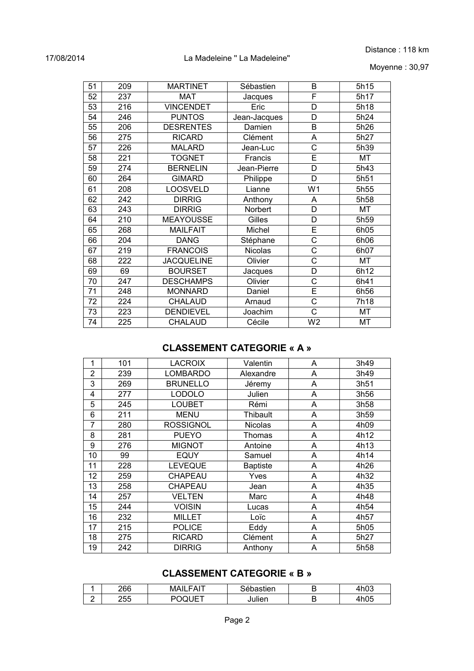#### 17/08/2014 La Madeleine '' La Madeleine''

| 51 | 209 | <b>MARTINET</b>   | Sébastien      | B              | 5h15 |
|----|-----|-------------------|----------------|----------------|------|
| 52 | 237 | <b>MAT</b>        | Jacques        | F              | 5h17 |
| 53 | 216 | <b>VINCENDET</b>  | Eric           | D              | 5h18 |
| 54 | 246 | <b>PUNTOS</b>     | Jean-Jacques   | D              | 5h24 |
| 55 | 206 | <b>DESRENTES</b>  | Damien         | B              | 5h26 |
| 56 | 275 | <b>RICARD</b>     | Clément        | A              | 5h27 |
| 57 | 226 | <b>MALARD</b>     | Jean-Luc       | C              | 5h39 |
| 58 | 221 | <b>TOGNET</b>     | Francis        | E              | MT   |
| 59 | 274 | <b>BERNELIN</b>   | Jean-Pierre    | D              | 5h43 |
| 60 | 264 | <b>GIMARD</b>     | Philippe       | D              | 5h51 |
| 61 | 208 | <b>LOOSVELD</b>   | Lianne         | W <sub>1</sub> | 5h55 |
| 62 | 242 | <b>DIRRIG</b>     | Anthony        | A              | 5h58 |
| 63 | 243 | <b>DIRRIG</b>     | Norbert        | D              | MT   |
| 64 | 210 | <b>MEAYOUSSE</b>  | Gilles         | D              | 5h59 |
| 65 | 268 | <b>MAILFAIT</b>   | Michel         | E              | 6h05 |
| 66 | 204 | <b>DANG</b>       | Stéphane       | C              | 6h06 |
| 67 | 219 | <b>FRANCOIS</b>   | <b>Nicolas</b> | C              | 6h07 |
| 68 | 222 | <b>JACQUELINE</b> | Olivier        | C              | MT   |
| 69 | 69  | <b>BOURSET</b>    | Jacques        | D              | 6h12 |
| 70 | 247 | <b>DESCHAMPS</b>  | Olivier        | C              | 6h41 |
| 71 | 248 | <b>MONNARD</b>    | Daniel         | E              | 6h56 |
| 72 | 224 | <b>CHALAUD</b>    | Arnaud         | $\overline{C}$ | 7h18 |
| 73 | 223 | <b>DENDIEVEL</b>  | Joachim        | C              | MT   |
| 74 | 225 | <b>CHALAUD</b>    | Cécile         | W <sub>2</sub> | MT   |

### **CLASSEMENT CATEGORIE « A »**

| 1              | 101 | <b>LACROIX</b>   | Valentin        | Α | 3h49             |
|----------------|-----|------------------|-----------------|---|------------------|
| $\overline{2}$ | 239 | <b>LOMBARDO</b>  | Alexandre       | A | 3h49             |
| 3              | 269 | <b>BRUNELLO</b>  | Jéremy          | A | 3h51             |
| 4              | 277 | <b>LODOLO</b>    | Julien          | A | 3h56             |
| 5              | 245 | <b>LOUBET</b>    | Rémi            | Α | 3h58             |
| 6              | 211 | <b>MENU</b>      | Thibault        | Α | 3h59             |
| 7              | 280 | <b>ROSSIGNOL</b> | <b>Nicolas</b>  | A | 4h09             |
| 8              | 281 | <b>PUEYO</b>     | Thomas          | Α | 4h12             |
| 9              | 276 | <b>MIGNOT</b>    | Antoine         | A | 4h13             |
| 10             | 99  | <b>EQUY</b>      | Samuel          | A | 4h14             |
| 11             | 228 | <b>LEVEQUE</b>   | <b>Baptiste</b> | Α | 4h26             |
| 12             | 259 | <b>CHAPEAU</b>   | Yves            | Α | 4h32             |
| 13             | 258 | <b>CHAPEAU</b>   | Jean            | A | 4h35             |
| 14             | 257 | <b>VELTEN</b>    | Marc            | A | 4h48             |
| 15             | 244 | <b>VOISIN</b>    | Lucas           | A | 4h54             |
| 16             | 232 | <b>MILLET</b>    | Loïc            | A | 4h57             |
| 17             | 215 | <b>POLICE</b>    | Eddy            | A | 5h05             |
| 18             | 275 | <b>RICARD</b>    | Clément         | Α | 5h27             |
| 19             | 242 | <b>DIRRIG</b>    | Anthony         | Α | 5h <sub>58</sub> |

# **CLASSEMENT CATEGORIE « B »**

|        | າຂຂ<br>∠oo | <b>NIA</b><br>FAI | $\cdots$<br>'stien | 1 にへへ<br>11 IU J |
|--------|------------|-------------------|--------------------|------------------|
| -<br>- | つにに<br>∠∪  | $- -$<br>⊩<br>. . | ulien              | 11 I V J         |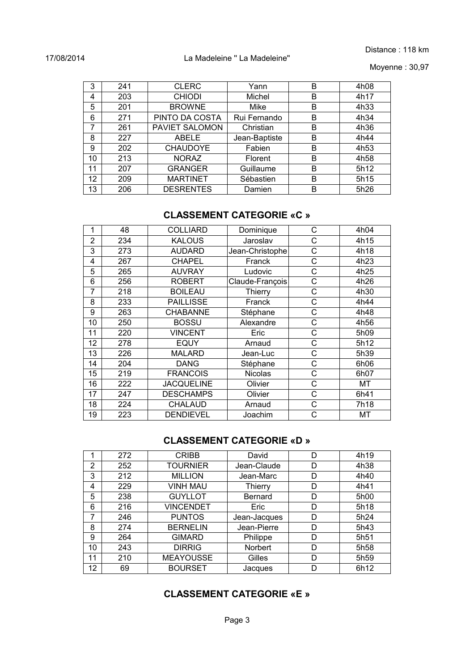Moyenne : 30,97

| 3  | 241 | <b>CLERC</b>     | Yann          | в | 4h08             |
|----|-----|------------------|---------------|---|------------------|
| 4  | 203 | <b>CHIODI</b>    | Michel        | B | 4h17             |
| 5  | 201 | <b>BROWNE</b>    | Mike          | B | 4h33             |
| 6  | 271 | PINTO DA COSTA   | Rui Fernando  | B | 4h34             |
| 7  | 261 | PAVIET SALOMON   | Christian     | B | 4h36             |
| 8  | 227 | <b>ABELE</b>     | Jean-Baptiste | B | 4h44             |
| 9  | 202 | <b>CHAUDOYE</b>  | Fabien        | В | 4h <sub>53</sub> |
| 10 | 213 | <b>NORAZ</b>     | Florent       | B | 4h58             |
| 11 | 207 | <b>GRANGER</b>   | Guillaume     | B | 5h12             |
| 12 | 209 | <b>MARTINET</b>  | Sébastien     | B | 5h15             |
| 13 | 206 | <b>DESRENTES</b> | Damien        | в | 5h26             |

## **CLASSEMENT CATEGORIE «C »**

| 1              | 48  | <b>COLLIARD</b>   | Dominique       | C | 4h04 |
|----------------|-----|-------------------|-----------------|---|------|
| $\overline{2}$ | 234 | <b>KALOUS</b>     | Jaroslav        | C | 4h15 |
| 3              | 273 | <b>AUDARD</b>     | Jean-Christophe | C | 4h18 |
| 4              | 267 | <b>CHAPEL</b>     | Franck          | C | 4h23 |
| 5              | 265 | <b>AUVRAY</b>     | Ludovic         | C | 4h25 |
| 6              | 256 | <b>ROBERT</b>     | Claude-François | C | 4h26 |
| $\overline{7}$ | 218 | <b>BOILEAU</b>    | Thierry         | C | 4h30 |
| 8              | 233 | <b>PAILLISSE</b>  | Franck          | C | 4h44 |
| 9              | 263 | <b>CHABANNE</b>   | Stéphane        | С | 4h48 |
| 10             | 250 | <b>BOSSU</b>      | Alexandre       | C | 4h56 |
| 11             | 220 | <b>VINCENT</b>    | Eric            | C | 5h09 |
| 12             | 278 | <b>EQUY</b>       | Arnaud          | C | 5h12 |
| 13             | 226 | <b>MALARD</b>     | Jean-Luc        | C | 5h39 |
| 14             | 204 | <b>DANG</b>       | Stéphane        | C | 6h06 |
| 15             | 219 | <b>FRANCOIS</b>   | Nicolas         | C | 6h07 |
| 16             | 222 | <b>JACQUELINE</b> | Olivier         | C | МT   |
| 17             | 247 | <b>DESCHAMPS</b>  | Olivier         | C | 6h41 |
| 18             | 224 | CHALAUD           | Arnaud          | С | 7h18 |
| 19             | 223 | <b>DENDIEVEL</b>  | Joachim         | C | МT   |

#### **CLASSEMENT CATEGORIE «D »**

| 1  | 272 | <b>CRIBB</b>     | David          | D | 4h19             |
|----|-----|------------------|----------------|---|------------------|
| 2  | 252 | <b>TOURNIER</b>  | Jean-Claude    | D | 4h38             |
| 3  | 212 | <b>MILLION</b>   | Jean-Marc      | D | 4h40             |
| 4  | 229 | <b>VINH MAU</b>  | <b>Thierry</b> | D | 4h41             |
| 5  | 238 | <b>GUYLLOT</b>   | <b>Bernard</b> | D | 5h00             |
| 6  | 216 | <b>VINCENDET</b> | Eric           | D | 5h18             |
| 7  | 246 | <b>PUNTOS</b>    | Jean-Jacques   | D | 5h24             |
| 8  | 274 | <b>BERNELIN</b>  | Jean-Pierre    | D | 5h43             |
| 9  | 264 | <b>GIMARD</b>    | Philippe       | D | 5h51             |
| 10 | 243 | <b>DIRRIG</b>    | Norbert        | D | 5h <sub>58</sub> |
| 11 | 210 | <b>MEAYOUSSE</b> | Gilles         | D | 5h <sub>59</sub> |
| 12 | 69  | <b>BOURSET</b>   | Jacques        | D | 6h12             |

# **CLASSEMENT CATEGORIE «E »**